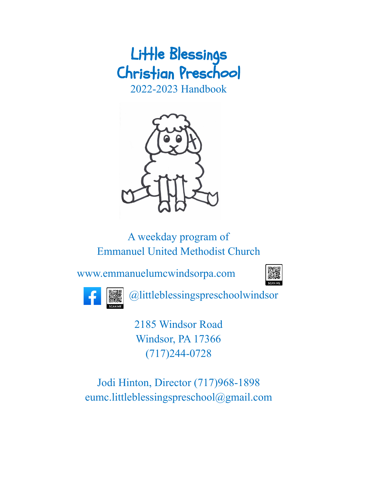# Little Blessings Christian Preschool

2022-2023 Handbook



A weekday program of Emmanuel United Methodist Church

[www.emmanuelumcwindsorpa.com](http://www.emmanuelumcwindsorpa.com)





@littleblessingspreschoolwindsor

2185 Windsor Road Windsor, PA 17366 (717)244-0728

Jodi Hinton, Director (717)968-1898 eumc.littleblessingspreschool@gmail.com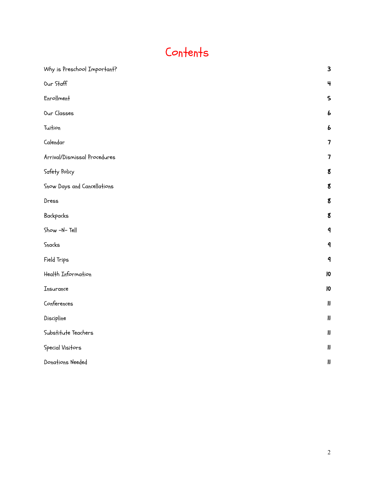# Contents

| Why is Preschool Important?  | $\mathbf{3}$               |
|------------------------------|----------------------------|
| Our Staff                    | 4                          |
| Enrollment                   | $\mathsf{S}$               |
| Our Classes                  | 6                          |
| Tuition                      | 6                          |
| Calendar                     | $\overline{\mathbf{z}}$    |
| Arrival/Dismissal Procedures | 7                          |
| Safety Policy                | 8                          |
| Snow Days and Cancellations  | $\mathbf g$                |
| Dress                        | $\boldsymbol{8}$           |
| Backpacks                    | 8                          |
| Show -N-Tell                 | $\mathbf 9$                |
| Snacks                       | $\mathbf 9$                |
| Field Trips                  | $\mathbf 9$                |
| Health Information           | $\overline{10}$            |
| Insurance                    | $\overline{10}$            |
| Conferences                  | $\boldsymbol{\mathsf{II}}$ |
| Discipline                   | $\pmb{\text{II}}$          |
| Substitute Teachers          | $\pmb{\text{II}}$          |
| Special Visitors             | $\boldsymbol{\mathsf{II}}$ |
| Donations Needed             | $\pmb{\text{II}}$          |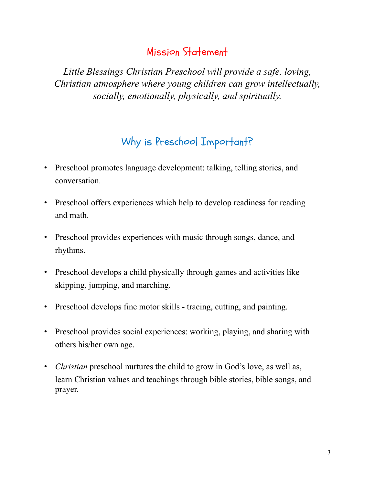# Mission Statement

*Little Blessings Christian Preschool will provide a safe, loving, Christian atmosphere where young children can grow intellectually, socially, emotionally, physically, and spiritually.*

# Why is Preschool Important?

- <span id="page-2-0"></span>• Preschool promotes language development: talking, telling stories, and conversation.
- Preschool offers experiences which help to develop readiness for reading and math.
- Preschool provides experiences with music through songs, dance, and rhythms.
- Preschool develops a child physically through games and activities like skipping, jumping, and marching.
- Preschool develops fine motor skills tracing, cutting, and painting.
- Preschool provides social experiences: working, playing, and sharing with others his/her own age.
- *Christian* preschool nurtures the child to grow in God's love, as well as, learn Christian values and teachings through bible stories, bible songs, and prayer.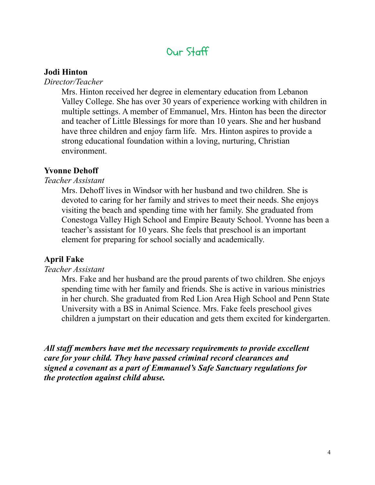# Our Staff

#### <span id="page-3-0"></span>**Jodi Hinton**

*Director/Teacher*

Mrs. Hinton received her degree in elementary education from Lebanon Valley College. She has over 30 years of experience working with children in multiple settings. A member of Emmanuel, Mrs. Hinton has been the director and teacher of Little Blessings for more than 10 years. She and her husband have three children and enjoy farm life. Mrs. Hinton aspires to provide a strong educational foundation within a loving, nurturing, Christian environment.

#### **Yvonne Dehoff**

*Teacher Assistant*

Mrs. Dehoff lives in Windsor with her husband and two children. She is devoted to caring for her family and strives to meet their needs. She enjoys visiting the beach and spending time with her family. She graduated from Conestoga Valley High School and Empire Beauty School. Yvonne has been a teacher's assistant for 10 years. She feels that preschool is an important element for preparing for school socially and academically.

### **April Fake**

#### *Teacher Assistant*

Mrs. Fake and her husband are the proud parents of two children. She enjoys spending time with her family and friends. She is active in various ministries in her church. She graduated from Red Lion Area High School and Penn State University with a BS in Animal Science. Mrs. Fake feels preschool gives children a jumpstart on their education and gets them excited for kindergarten.

*All staf members have met the necessary requirements to provide excellent care for your child. They have passed criminal record clearances and signed a covenant as a part of Emmanuel's Safe Sanctuary regulations for the protection against child abuse.*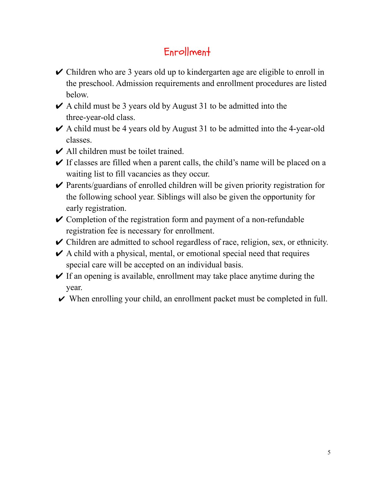# Enrollment

- <span id="page-4-0"></span> $\vee$  Children who are 3 years old up to kindergarten age are eligible to enroll in the preschool. Admission requirements and enrollment procedures are listed below.
- $\triangleright$  A child must be 3 years old by August 31 to be admitted into the three-year-old class.
- $\triangleright$  A child must be 4 years old by August 31 to be admitted into the 4-year-old classes.
- $\vee$  All children must be toilet trained.
- $\vee$  If classes are filled when a parent calls, the child's name will be placed on a waiting list to fill vacancies as they occur.
- $\vee$  Parents/guardians of enrolled children will be given priority registration for the following school year. Siblings will also be given the opportunity for early registration.
- $\vee$  Completion of the registration form and payment of a non-refundable registration fee is necessary for enrollment.
- $\triangleright$  Children are admitted to school regardless of race, religion, sex, or ethnicity.
- $\triangleright$  A child with a physical, mental, or emotional special need that requires special care will be accepted on an individual basis.
- $\vee$  If an opening is available, enrollment may take place anytime during the year.
- $\vee$  When enrolling your child, an enrollment packet must be completed in full.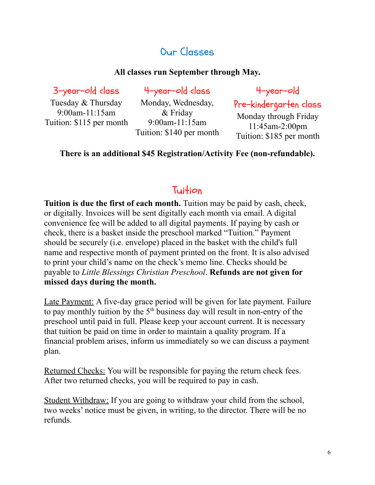# Our Classes

#### **All classes run September through May.**

<span id="page-5-0"></span>3-year-old class

Tuesday & Thursday 9:00am-11:15am Tuition: \$115 per month

4-year-old class Monday, Wednesday,

& Friday 9:00am-11:15am Tuition: \$140 per month 4-year-old

Pre-kindergarten class Monday through Friday 11:45am-2:00pm Tuition: \$185 per month

#### **There is an additional \$45 Registration/Activity Fee (non-refundable).**

### **Tuition**

<span id="page-5-1"></span>**Tuition is due the first of each month.** Tuition may be paid by cash, check, or digitally. Invoices will be sent digitally each month via email. A digital convenience fee will be added to all digital payments. If paying by cash or check, there is a basket inside the preschool marked "Tuition." Payment should be securely (i.e. envelope) placed in the basket with the child's full name and respective month of payment printed on the front. It is also advised to print your child's name on the check's memo line. Checks should be payable to *Little Blessings Christian Preschool*. **Refunds are not given for missed days during the month.**

Late Payment: A five-day grace period will be given for late payment. Failure to pay monthly tuition by the  $5<sup>th</sup>$  business day will result in non-entry of the preschool until paid in full. Please keep your account current. It is necessary that tuition be paid on time in order to maintain a quality program. If a financial problem arises, inform us immediately so we can discuss a payment plan.

Returned Checks: You will be responsible for paying the return check fees. After two returned checks, you will be required to pay in cash.

Student Withdraw: If you are going to withdraw your child from the school, two weeks' notice must be given, in writing, to the director. There will be no refunds.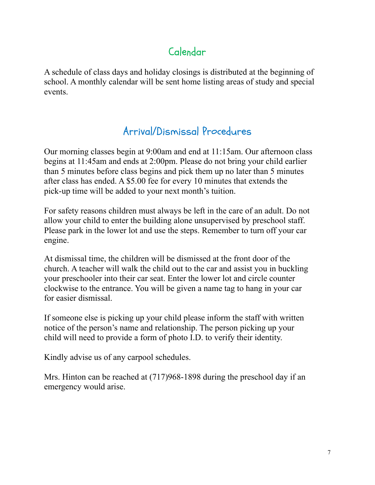# Calendar

<span id="page-6-0"></span>A schedule of class days and holiday closings is distributed at the beginning of school. A monthly calendar will be sent home listing areas of study and special events.

# Arrival/Dismissal Procedures

<span id="page-6-1"></span>Our morning classes begin at 9:00am and end at 11:15am. Our afternoon class begins at 11:45am and ends at 2:00pm. Please do not bring your child earlier than 5 minutes before class begins and pick them up no later than 5 minutes after class has ended. A \$5.00 fee for every 10 minutes that extends the pick-up time will be added to your next month's tuition.

For safety reasons children must always be left in the care of an adult. Do not allow your child to enter the building alone unsupervised by preschool staff. Please park in the lower lot and use the steps. Remember to turn off your car engine.

At dismissal time, the children will be dismissed at the front door of the church. A teacher will walk the child out to the car and assist you in buckling your preschooler into their car seat. Enter the lower lot and circle counter clockwise to the entrance. You will be given a name tag to hang in your car for easier dismissal.

If someone else is picking up your child please inform the staff with written notice of the person's name and relationship. The person picking up your child will need to provide a form of photo I.D. to verify their identity.

Kindly advise us of any carpool schedules.

Mrs. Hinton can be reached at (717)968-1898 during the preschool day if an emergency would arise.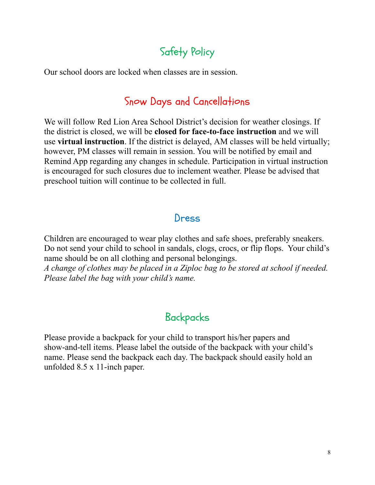# Safety Policy

<span id="page-7-1"></span><span id="page-7-0"></span>Our school doors are locked when classes are in session.

# Snow Days and Cancellations

We will follow Red Lion Area School District's decision for weather closings. If the district is closed, we will be **closed for face-to-face instruction** and we will use **virtual instruction**. If the district is delayed, AM classes will be held virtually; however, PM classes will remain in session. You will be notified by email and Remind App regarding any changes in schedule. Participation in virtual instruction is encouraged for such closures due to inclement weather. Please be advised that preschool tuition will continue to be collected in full.

### Dress

<span id="page-7-2"></span>Children are encouraged to wear play clothes and safe shoes, preferably sneakers. Do not send your child to school in sandals, clogs, crocs, or flip flops. Your child's name should be on all clothing and personal belongings.

*A change of clothes may be placed in a Ziploc bag to be stored at school if needed. Please label the bag with your child's name.*

# Backpacks

<span id="page-7-3"></span>Please provide a backpack for your child to transport his/her papers and show-and-tell items. Please label the outside of the backpack with your child's name. Please send the backpack each day. The backpack should easily hold an unfolded 8.5 x 11-inch paper.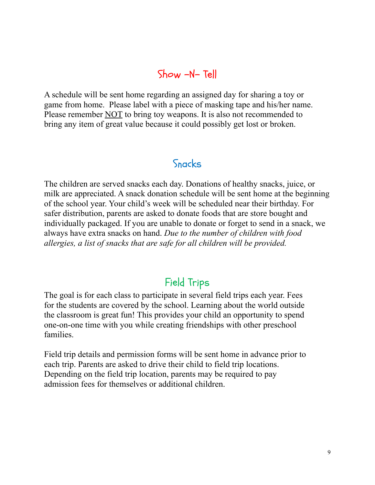## Show -N- Tell

<span id="page-8-0"></span>A schedule will be sent home regarding an assigned day for sharing a toy or game from home. Please label with a piece of masking tape and his/her name. Please remember NOT to bring toy weapons. It is also not recommended to bring any item of great value because it could possibly get lost or broken.

### Snacks

<span id="page-8-1"></span>The children are served snacks each day. Donations of healthy snacks, juice, or milk are appreciated. A snack donation schedule will be sent home at the beginning of the school year. Your child's week will be scheduled near their birthday. For safer distribution, parents are asked to donate foods that are store bought and individually packaged. If you are unable to donate or forget to send in a snack, we always have extra snacks on hand. *Due to the number of children with food allergies, a list of snacks that are safe for all children will be provided.*

# Field Trips

<span id="page-8-2"></span>The goal is for each class to participate in several field trips each year. Fees for the students are covered by the school. Learning about the world outside the classroom is great fun! This provides your child an opportunity to spend one-on-one time with you while creating friendships with other preschool families.

Field trip details and permission forms will be sent home in advance prior to each trip. Parents are asked to drive their child to field trip locations. Depending on the field trip location, parents may be required to pay admission fees for themselves or additional children.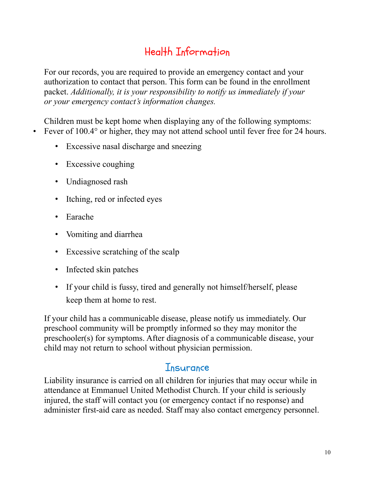# Health Information

<span id="page-9-0"></span>For our records, you are required to provide an emergency contact and your authorization to contact that person. This form can be found in the enrollment packet. *Additionally, it is your responsibility to notify us immediately if your or your emergency contact's information changes.*

Children must be kept home when displaying any of the following symptoms: • Fever of 100.4° or higher, they may not attend school until fever free for 24 hours.

- Excessive nasal discharge and sneezing
- Excessive coughing
- Undiagnosed rash
- Itching, red or infected eyes
- Earache
- Vomiting and diarrhea
- Excessive scratching of the scalp
- Infected skin patches
- If your child is fussy, tired and generally not himself/herself, please keep them at home to rest.

If your child has a communicable disease, please notify us immediately. Our preschool community will be promptly informed so they may monitor the preschooler(s) for symptoms. After diagnosis of a communicable disease, your child may not return to school without physician permission.

### Insurance

<span id="page-9-1"></span>Liability insurance is carried on all children for injuries that may occur while in attendance at Emmanuel United Methodist Church. If your child is seriously injured, the staff will contact you (or emergency contact if no response) and administer first-aid care as needed. Staff may also contact emergency personnel.